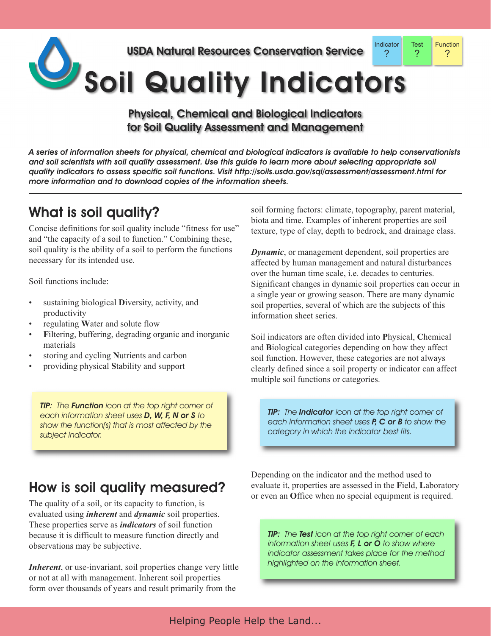

Physical, Chemical and Biological Indicators for Soil Quality Assessment and Management

A series of information sheets for physical, chemical and biological indicators is available to help conservationists and soil scientists with soil quality assessment. Use this guide to learn more about selecting appropriate soil *quality indicators to assess specific soil functions. Visit http://soils.usda.gov/sqi/assessment/assessment.html for more information and to download copies of the information sheets.*

## What is soil quality?

Concise definitions for soil quality include "fitness for use" and "the capacity of a soil to function." Combining these, soil quality is the ability of a soil to perform the functions necessary for its intended use.

Soil functions include:

- sustaining biological Diversity, activity, and productivity
- regulating **W**ater and solute flow
- Filtering, buffering, degrading organic and inorganic materials
- storing and cycling **N**utrients and carbon
- providing physical **S**tability and support

*TIP: The Function icon at the top right corner of each information sheet uses D, W, F, N or S to show the function(s) that is most affected by the subject indicator.*

soil forming factors: climate, topography, parent material, biota and time. Examples of inherent properties are soil texture, type of clay, depth to bedrock, and drainage class.

*Dynamic*, or management dependent, soil properties are affected by human management and natural disturbances over the human time scale, i.e. decades to centuries. Significant changes in dynamic soil properties can occur in a single year or growing season. There are many dynamic soil properties, several of which are the subjects of this information sheet series.

Soil indicators are often divided into **P**hysical, **C**hemical and **B**iological categories depending on how they affect soil function. However, these categories are not always clearly defined since a soil property or indicator can affect multiple soil functions or categories.

*TIP: The Indicator icon at the top right corner of each information sheet uses P, C or B to show the category in which the indicator best fits.*

How is soil quality measured?

The quality of a soil, or its capacity to function, is evaluated using *inherent* and *dynamic* soil properties. These properties serve as *indicators* of soil function because it is difficult to measure function directly and observations may be subjective.

*Inherent*, or use-invariant, soil properties change very little or not at all with management. Inherent soil properties form over thousands of years and result primarily from the

Depending on the indicator and the method used to evaluate it, properties are assessed in the **F**ield, **L**aboratory or even an **O**ffice when no special equipment is required.

*TIP: The Test icon at the top right corner of each information sheet uses F, L or O to show where indicator assessment takes place for the method highlighted on the information sheet.*